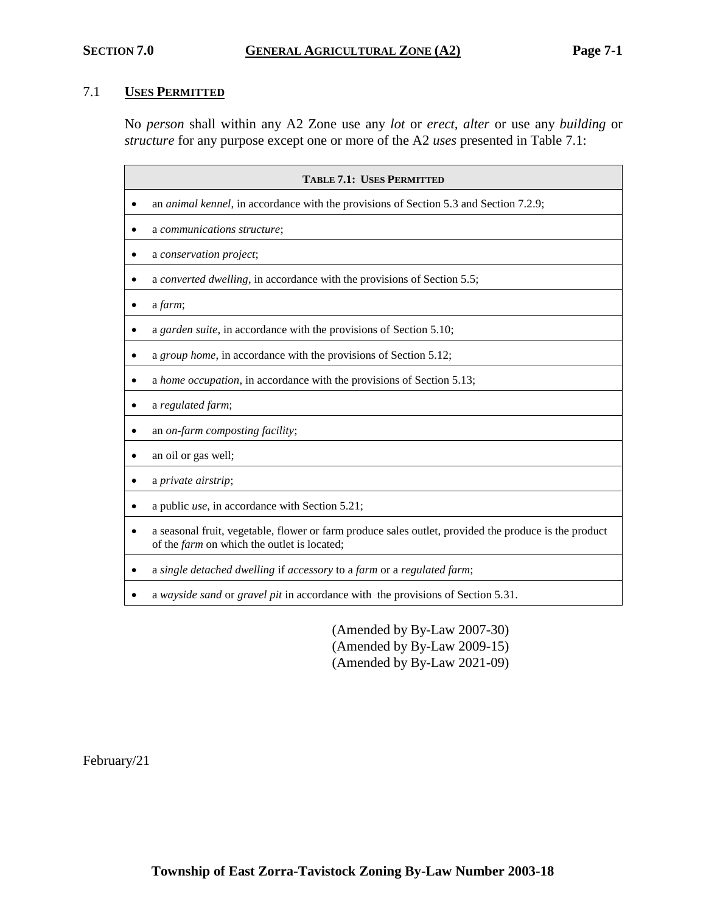# 7.1 **USES PERMITTED**

No *person* shall within any A2 Zone use any *lot* or *erect, alter* or use any *building* or *structure* for any purpose except one or more of the A2 *uses* presented in Table 7.1:

| <b>TABLE 7.1: USES PERMITTED</b>                                                                                                                     |  |  |  |
|------------------------------------------------------------------------------------------------------------------------------------------------------|--|--|--|
| an <i>animal kennel</i> , in accordance with the provisions of Section 5.3 and Section 7.2.9;                                                        |  |  |  |
| a communications structure;                                                                                                                          |  |  |  |
| a conservation project;                                                                                                                              |  |  |  |
| a converted dwelling, in accordance with the provisions of Section 5.5;                                                                              |  |  |  |
| a farm;                                                                                                                                              |  |  |  |
| a garden suite, in accordance with the provisions of Section 5.10;                                                                                   |  |  |  |
| a group home, in accordance with the provisions of Section 5.12;                                                                                     |  |  |  |
| a home occupation, in accordance with the provisions of Section 5.13;                                                                                |  |  |  |
| a regulated farm;                                                                                                                                    |  |  |  |
| an on-farm composting facility;                                                                                                                      |  |  |  |
| an oil or gas well;                                                                                                                                  |  |  |  |
| a private airstrip;                                                                                                                                  |  |  |  |
| a public <i>use</i> , in accordance with Section 5.21;                                                                                               |  |  |  |
| a seasonal fruit, vegetable, flower or farm produce sales outlet, provided the produce is the product<br>of the farm on which the outlet is located; |  |  |  |
| a single detached dwelling if accessory to a farm or a regulated farm;                                                                               |  |  |  |
| a wayside sand or gravel pit in accordance with the provisions of Section 5.31.                                                                      |  |  |  |

(Amended by By-Law 2007-30) (Amended by By-Law 2009-15) (Amended by By-Law 2021-09)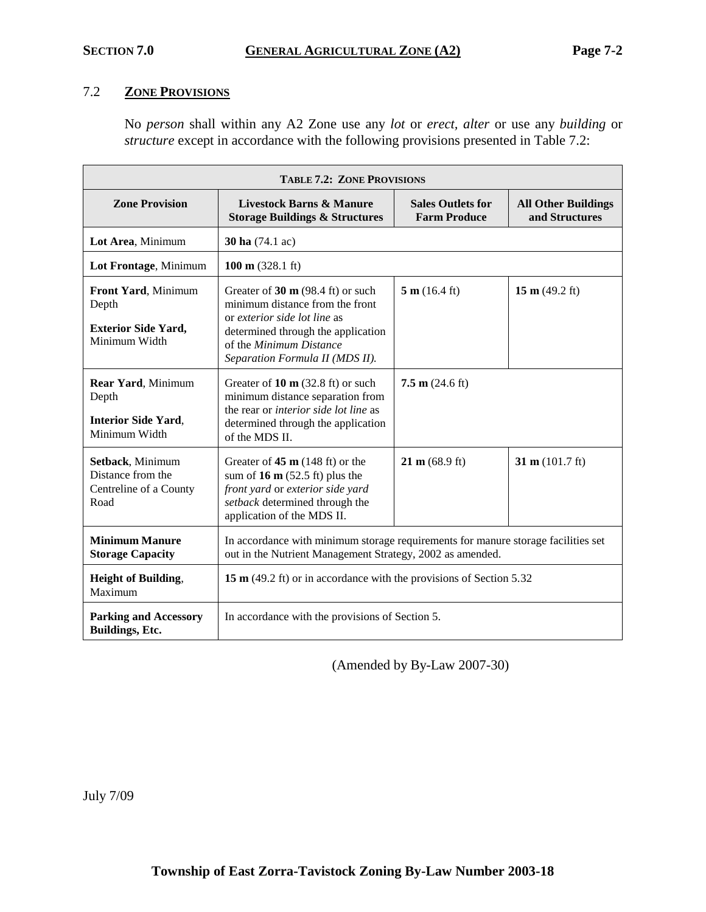# 7.2 **ZONE PROVISIONS**

No *person* shall within any A2 Zone use any *lot* or *erect, alter* or use any *building* or *structure* except in accordance with the following provisions presented in Table 7.2:

| <b>TABLE 7.2: ZONE PROVISIONS</b>                                           |                                                                                                                                                                                                                    |                                                 |                                              |
|-----------------------------------------------------------------------------|--------------------------------------------------------------------------------------------------------------------------------------------------------------------------------------------------------------------|-------------------------------------------------|----------------------------------------------|
| <b>Zone Provision</b>                                                       | <b>Livestock Barns &amp; Manure</b><br><b>Storage Buildings &amp; Structures</b>                                                                                                                                   | <b>Sales Outlets for</b><br><b>Farm Produce</b> | <b>All Other Buildings</b><br>and Structures |
| Lot Area, Minimum                                                           | <b>30 ha</b> (74.1 ac)                                                                                                                                                                                             |                                                 |                                              |
| Lot Frontage, Minimum                                                       | 100 m $(328.1 \text{ ft})$                                                                                                                                                                                         |                                                 |                                              |
| Front Yard, Minimum<br>Depth<br><b>Exterior Side Yard,</b><br>Minimum Width | Greater of $30 \text{ m}$ (98.4 ft) or such<br>minimum distance from the front<br>or exterior side lot line as<br>determined through the application<br>of the Minimum Distance<br>Separation Formula II (MDS II). | 5 m (16.4 ft)                                   | 15 m $(49.2 \text{ ft})$                     |
| Rear Yard, Minimum<br>Depth<br><b>Interior Side Yard,</b><br>Minimum Width  | Greater of $10 \text{ m}$ (32.8 ft) or such<br>minimum distance separation from<br>the rear or interior side lot line as<br>determined through the application<br>of the MDS II.                                   | 7.5 m $(24.6 \text{ ft})$                       |                                              |
| Setback, Minimum<br>Distance from the<br>Centreline of a County<br>Road     | Greater of $45 \text{ m}$ (148 ft) or the<br>sum of 16 $m$ (52.5 ft) plus the<br>front yard or exterior side yard<br>setback determined through the<br>application of the MDS II.                                  | $21 \text{ m} (68.9 \text{ ft})$                | 31 m $(101.7 \text{ ft})$                    |
| <b>Minimum Manure</b><br><b>Storage Capacity</b>                            | In accordance with minimum storage requirements for manure storage facilities set<br>out in the Nutrient Management Strategy, 2002 as amended.                                                                     |                                                 |                                              |
| <b>Height of Building,</b><br>Maximum                                       | 15 m (49.2 ft) or in accordance with the provisions of Section 5.32                                                                                                                                                |                                                 |                                              |
| <b>Parking and Accessory</b><br>Buildings, Etc.                             | In accordance with the provisions of Section 5.                                                                                                                                                                    |                                                 |                                              |

(Amended by By-Law 2007-30)

July 7/09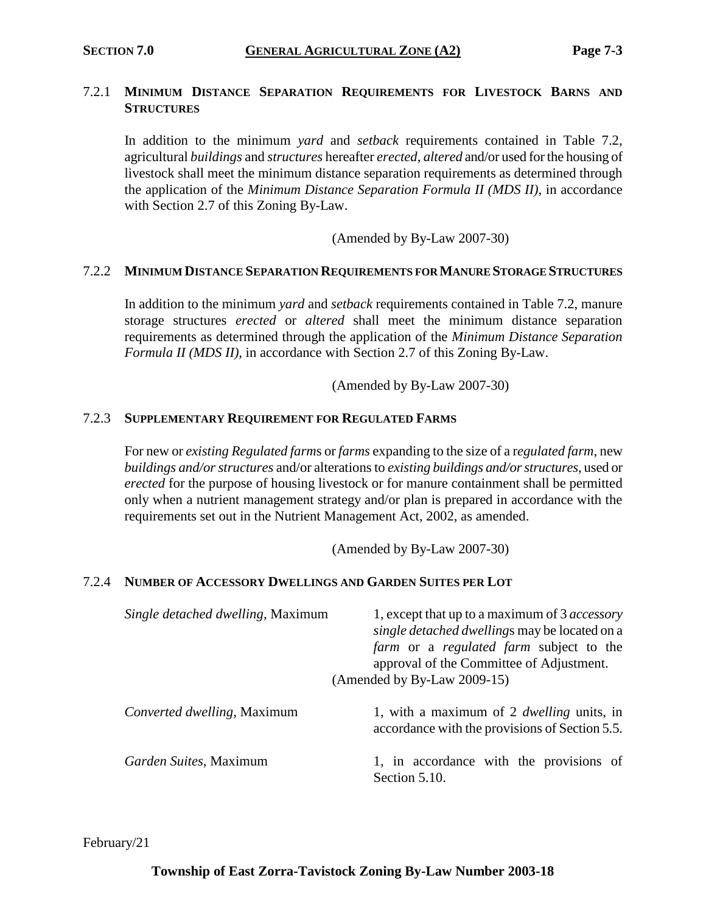## 7.2.1 **MINIMUM DISTANCE SEPARATION REQUIREMENTS FOR LIVESTOCK BARNS AND STRUCTURES**

In addition to the minimum *yard* and *setback* requirements contained in Table 7.2, agricultural *buildings* and *structures* hereafter *erected*, *altered* and/or used for the housing of livestock shall meet the minimum distance separation requirements as determined through the application of the *Minimum Distance Separation Formula II (MDS II)*, in accordance with Section 2.7 of this Zoning By-Law.

(Amended by By-Law 2007-30)

### 7.2.2 **MINIMUM DISTANCE SEPARATION REQUIREMENTS FOR MANURE STORAGE STRUCTURES**

In addition to the minimum *yard* and *setback* requirements contained in Table 7.2, manure storage structures *erected* or *altered* shall meet the minimum distance separation requirements as determined through the application of the *Minimum Distance Separation Formula II (MDS II)*, in accordance with Section 2.7 of this Zoning By-Law.

(Amended by By-Law 2007-30)

#### 7.2.3 **SUPPLEMENTARY REQUIREMENT FOR REGULATED FARMS**

For new or *existing Regulated farm*s or *farms* expanding to the size of a r*egulated farm*, new *buildings and/or structures* and/or alterations to *existing buildings and/or structures*, used or *erected* for the purpose of housing livestock or for manure containment shall be permitted only when a nutrient management strategy and/or plan is prepared in accordance with the requirements set out in the Nutrient Management Act, 2002, as amended.

(Amended by By-Law 2007-30)

### 7.2.4 **NUMBER OF ACCESSORY DWELLINGS AND GARDEN SUITES PER LOT**

| Single detached dwelling, Maximum | 1, except that up to a maximum of 3 <i>accessory</i><br>single detached dwellings may be located on a<br><i>farm</i> or a <i>regulated farm</i> subject to the<br>approval of the Committee of Adjustment.<br>(Amended by By-Law 2009-15) |
|-----------------------------------|-------------------------------------------------------------------------------------------------------------------------------------------------------------------------------------------------------------------------------------------|
| Converted dwelling, Maximum       | 1, with a maximum of 2 <i>dwelling</i> units, in<br>accordance with the provisions of Section 5.5.                                                                                                                                        |
| <i>Garden Suites, Maximum</i>     | 1, in accordance with the provisions of<br>Section 5.10.                                                                                                                                                                                  |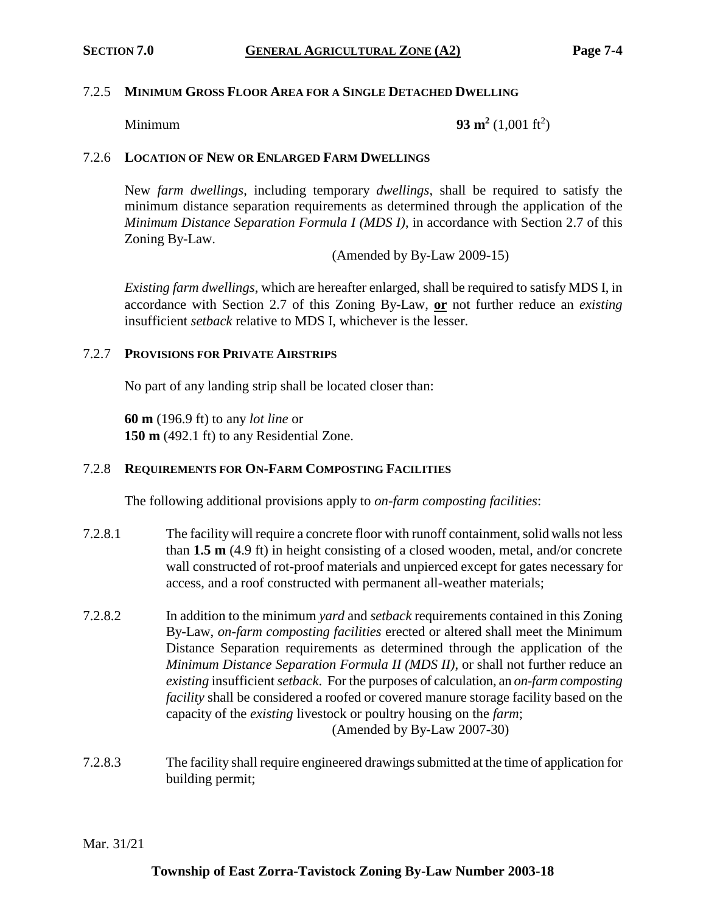#### 7.2.5 **MINIMUM GROSS FLOOR AREA FOR A SINGLE DETACHED DWELLING**

Minimum **93 m<sup>2</sup>**

 $(1,001 \text{ ft}^2)$ 

### 7.2.6 **LOCATION OF NEW OR ENLARGED FARM DWELLINGS**

New *farm dwellings*, including temporary *dwellings*, shall be required to satisfy the minimum distance separation requirements as determined through the application of the *Minimum Distance Separation Formula I (MDS I)*, in accordance with Section 2.7 of this Zoning By-Law.

(Amended by By-Law 2009-15)

*Existing farm dwellings*, which are hereafter enlarged, shall be required to satisfy MDS I, in accordance with Section 2.7 of this Zoning By-Law, **or** not further reduce an *existing* insufficient *setback* relative to MDS I, whichever is the lesser.

### 7.2.7 **PROVISIONS FOR PRIVATE AIRSTRIPS**

No part of any landing strip shall be located closer than:

**60 m** (196.9 ft) to any *lot line* or **150 m** (492.1 ft) to any Residential Zone.

### 7.2.8 **REQUIREMENTS FOR ON-FARM COMPOSTING FACILITIES**

The following additional provisions apply to *on-farm composting facilities*:

- 7.2.8.1 The facility will require a concrete floor with runoff containment, solid walls not less than **1.5 m** (4.9 ft) in height consisting of a closed wooden, metal, and/or concrete wall constructed of rot-proof materials and unpierced except for gates necessary for access, and a roof constructed with permanent all-weather materials;
- 7.2.8.2 In addition to the minimum *yard* and *setback* requirements contained in this Zoning By-Law, *on-farm composting facilities* erected or altered shall meet the Minimum Distance Separation requirements as determined through the application of the *Minimum Distance Separation Formula II (MDS II)*, or shall not further reduce an *existing* insufficient *setback*. For the purposes of calculation, an *on-farm composting facility* shall be considered a roofed or covered manure storage facility based on the capacity of the *existing* livestock or poultry housing on the *farm*; (Amended by By-Law 2007-30)
- 7.2.8.3 The facility shall require engineered drawings submitted at the time of application for building permit;

Mar. 31/21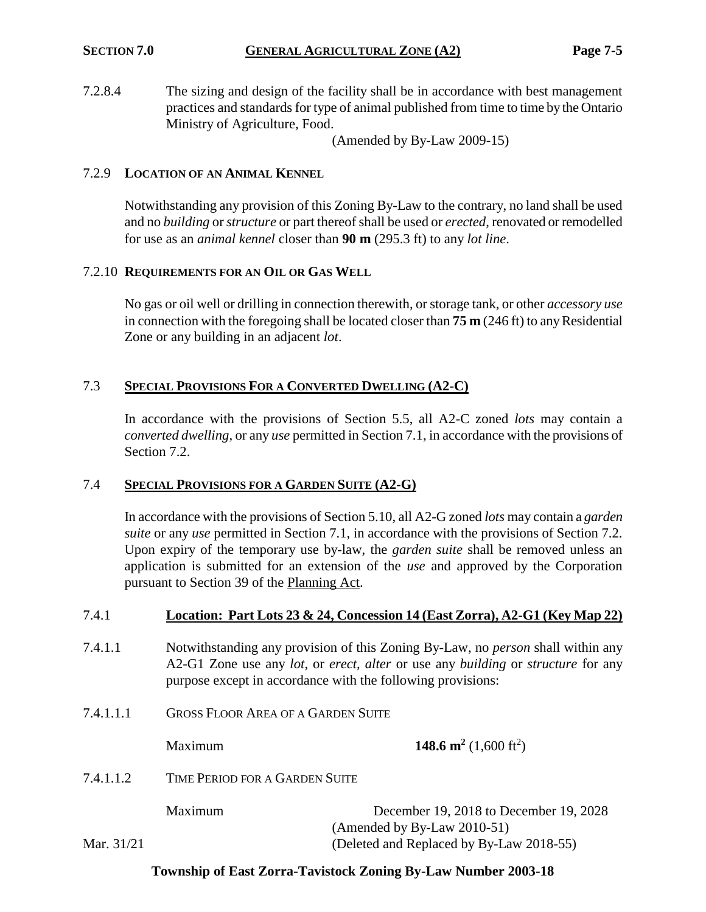7.2.8.4 The sizing and design of the facility shall be in accordance with best management practices and standards for type of animal published from time to time by the Ontario Ministry of Agriculture, Food.

(Amended by By-Law 2009-15)

## 7.2.9 **LOCATION OF AN ANIMAL KENNEL**

Notwithstanding any provision of this Zoning By-Law to the contrary, no land shall be used and no *building* or *structure* or part thereof shall be used or *erected*, renovated or remodelled for use as an *animal kennel* closer than **90 m** (295.3 ft) to any *lot line*.

### 7.2.10 **REQUIREMENTS FOR AN OIL OR GAS WELL**

No gas or oil well or drilling in connection therewith, or storage tank, or other *accessory use* in connection with the foregoing shall be located closer than **75 m** (246 ft) to any Residential Zone or any building in an adjacent *lot*.

## 7.3 **SPECIAL PROVISIONS FOR A CONVERTED DWELLING (A2-C)**

In accordance with the provisions of Section 5.5, all A2-C zoned *lots* may contain a *converted dwelling*, or any *use* permitted in Section 7.1, in accordance with the provisions of Section 7.2.

### 7.4 **SPECIAL PROVISIONS FOR A GARDEN SUITE (A2-G)**

In accordance with the provisions of Section 5.10, all A2-G zoned *lots* may contain a *garden suite* or any *use* permitted in Section 7.1, in accordance with the provisions of Section 7.2. Upon expiry of the temporary use by-law, the *garden suite* shall be removed unless an application is submitted for an extension of the *use* and approved by the Corporation pursuant to Section 39 of the Planning Act.

- 7.4.1.1 Notwithstanding any provision of this Zoning By-Law, no *person* shall within any A2-G1 Zone use any *lot*, or *erect, alter* or use any *building* or *structure* for any purpose except in accordance with the following provisions:
- 7.4.1.1.1 GROSS FLOOR AREA OF A GARDEN SUITE

Maximum **148.6 m<sup>2</sup>** (1,600 ft<sup>2</sup>)

7.4.1.1.2 TIME PERIOD FOR A GARDEN SUITE

Maximum December 19, 2018 to December 19, 2028 (Amended by By-Law 2010-51) Mar. 31/21 (Deleted and Replaced by By-Law 2018-55)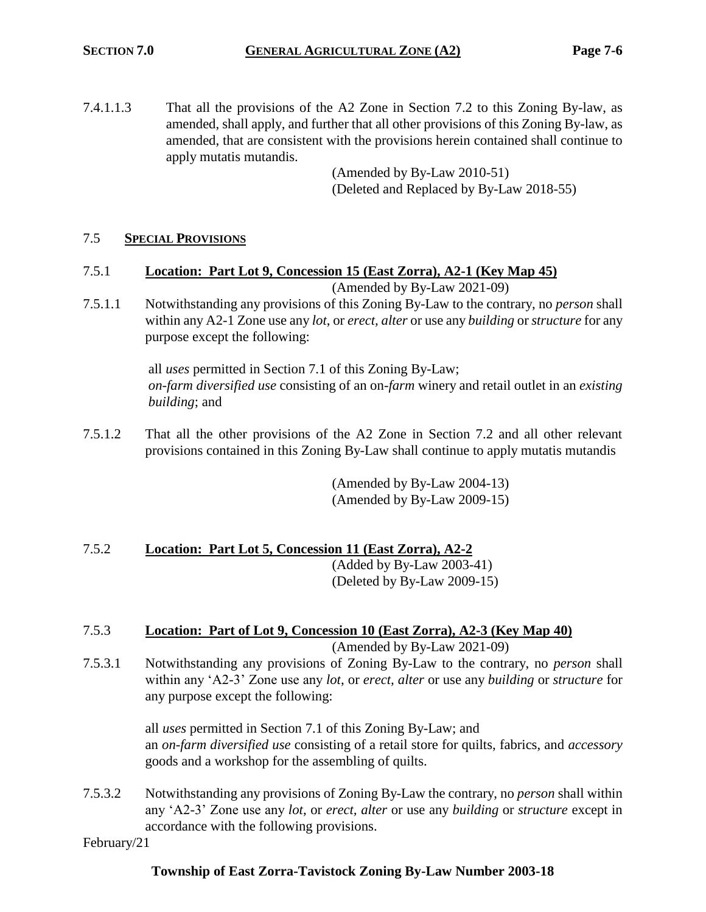7.4.1.1.3 That all the provisions of the A2 Zone in Section 7.2 to this Zoning By-law, as amended, shall apply, and further that all other provisions of this Zoning By-law, as amended, that are consistent with the provisions herein contained shall continue to apply mutatis mutandis.

(Amended by By-Law 2010-51) (Deleted and Replaced by By-Law 2018-55)

# 7.5 **SPECIAL PROVISIONS**

7.5.1 **Location: Part Lot 9, Concession 15 (East Zorra), A2-1 (Key Map 45)**

(Amended by By-Law 2021-09)

7.5.1.1 Notwithstanding any provisions of this Zoning By-Law to the contrary, no *person* shall within any A2-1 Zone use any *lot*, or *erect, alter* or use any *building* or *structure* for any purpose except the following:

> all *uses* permitted in Section 7.1 of this Zoning By-Law; *on-farm diversified use* consisting of an on-*farm* winery and retail outlet in an *existing building*; and

7.5.1.2 That all the other provisions of the A2 Zone in Section 7.2 and all other relevant provisions contained in this Zoning By-Law shall continue to apply mutatis mutandis

> (Amended by By-Law 2004-13) (Amended by By-Law 2009-15)

## 7.5.2 **Location: Part Lot 5, Concession 11 (East Zorra), A2-2** (Added by By-Law 2003-41) (Deleted by By-Law 2009-15)

### 7.5.3 **Location: Part of Lot 9, Concession 10 (East Zorra), A2-3 (Key Map 40)** (Amended by By-Law 2021-09)

7.5.3.1 Notwithstanding any provisions of Zoning By-Law to the contrary, no *person* shall within any 'A2-3' Zone use any *lot*, or *erect, alter* or use any *building* or *structure* for any purpose except the following:

> all *uses* permitted in Section 7.1 of this Zoning By-Law; and an *on-farm diversified use* consisting of a retail store for quilts, fabrics, and *accessory* goods and a workshop for the assembling of quilts.

7.5.3.2 Notwithstanding any provisions of Zoning By-Law the contrary, no *person* shall within any 'A2-3' Zone use any *lot*, or *erect, alter* or use any *building* or *structure* except in accordance with the following provisions.

February/21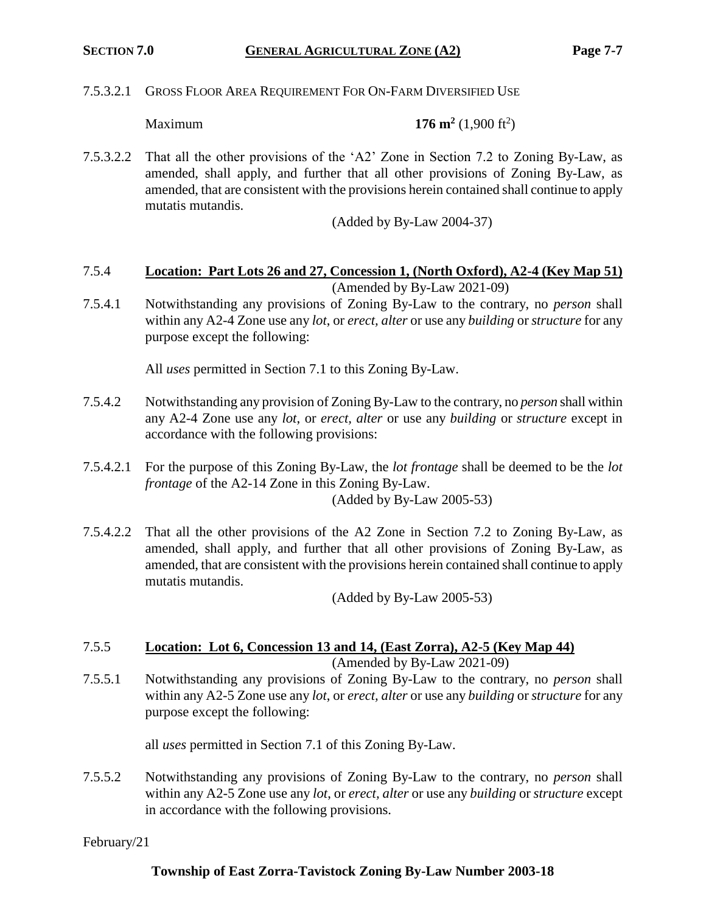7.5.3.2.1 GROSS FLOOR AREA REQUIREMENT FOR ON-FARM DIVERSIFIED USE

Maximum **176 m<sup>2</sup>**

 $(1,900 \text{ ft}^2)$ 

7.5.3.2.2 That all the other provisions of the 'A2' Zone in Section 7.2 to Zoning By-Law, as amended, shall apply, and further that all other provisions of Zoning By-Law, as amended, that are consistent with the provisions herein contained shall continue to apply mutatis mutandis.

(Added by By-Law 2004-37)

- 7.5.4 **Location: Part Lots 26 and 27, Concession 1, (North Oxford), A2-4 (Key Map 51)** (Amended by By-Law 2021-09)
- 7.5.4.1 Notwithstanding any provisions of Zoning By-Law to the contrary, no *person* shall within any A2-4 Zone use any *lot*, or *erect, alter* or use any *building* or *structure* for any purpose except the following:

All *uses* permitted in Section 7.1 to this Zoning By-Law.

- 7.5.4.2 Notwithstanding any provision of Zoning By-Law to the contrary, no *person* shall within any A2-4 Zone use any *lot*, or *erect, alter* or use any *building* or *structure* except in accordance with the following provisions:
- 7.5.4.2.1 For the purpose of this Zoning By-Law, the *lot frontage* shall be deemed to be the *lot frontage* of the A2-14 Zone in this Zoning By-Law. (Added by By-Law 2005-53)
- 7.5.4.2.2 That all the other provisions of the A2 Zone in Section 7.2 to Zoning By-Law, as amended, shall apply, and further that all other provisions of Zoning By-Law, as amended, that are consistent with the provisions herein contained shall continue to apply mutatis mutandis.

(Added by By-Law 2005-53)

# 7.5.5 **Location: Lot 6, Concession 13 and 14, (East Zorra), A2-5 (Key Map 44)**

(Amended by By-Law 2021-09)

7.5.5.1 Notwithstanding any provisions of Zoning By-Law to the contrary, no *person* shall within any A2-5 Zone use any *lot*, or *erect, alter* or use any *building* or *structure* for any purpose except the following:

all *uses* permitted in Section 7.1 of this Zoning By-Law.

7.5.5.2 Notwithstanding any provisions of Zoning By-Law to the contrary, no *person* shall within any A2-5 Zone use any *lot*, or *erect, alter* or use any *building* or *structure* except in accordance with the following provisions.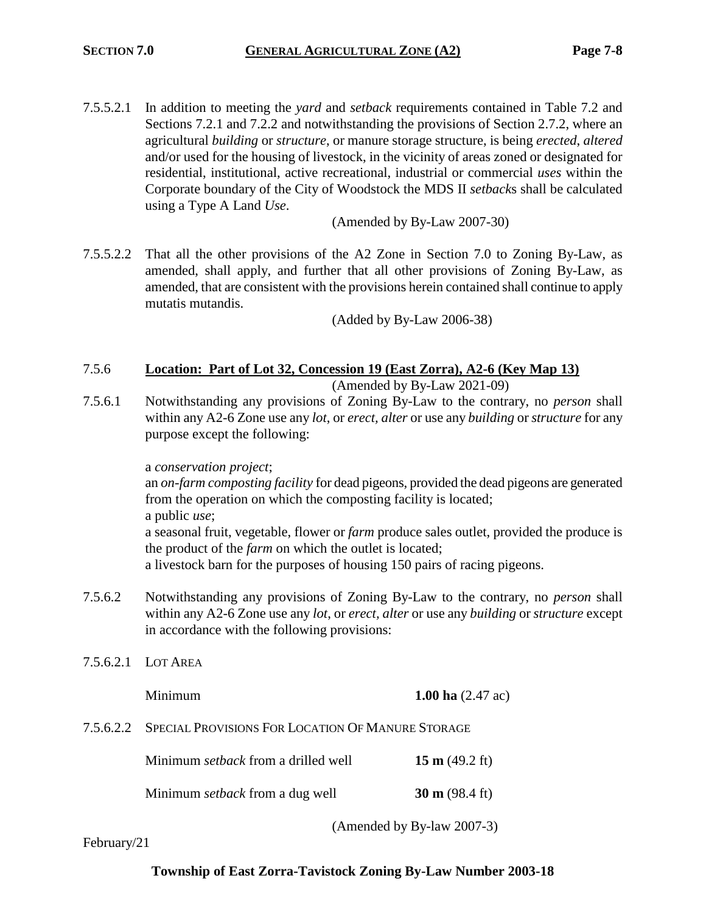7.5.5.2.1 In addition to meeting the *yard* and *setback* requirements contained in Table 7.2 and Sections 7.2.1 and 7.2.2 and notwithstanding the provisions of Section 2.7.2, where an agricultural *building* or *structure*, or manure storage structure, is being *erected*, *altered* and/or used for the housing of livestock, in the vicinity of areas zoned or designated for residential, institutional, active recreational, industrial or commercial *uses* within the Corporate boundary of the City of Woodstock the MDS II *setback*s shall be calculated using a Type A Land *Use*.

(Amended by By-Law 2007-30)

7.5.5.2.2 That all the other provisions of the A2 Zone in Section 7.0 to Zoning By-Law, as amended, shall apply, and further that all other provisions of Zoning By-Law, as amended, that are consistent with the provisions herein contained shall continue to apply mutatis mutandis.

(Added by By-Law 2006-38)

## 7.5.6 **Location: Part of Lot 32, Concession 19 (East Zorra), A2-6 (Key Map 13)** (Amended by By-Law 2021-09)

7.5.6.1 Notwithstanding any provisions of Zoning By-Law to the contrary, no *person* shall within any A2-6 Zone use any *lot*, or *erect, alter* or use any *building* or *structure* for any purpose except the following:

a *conservation project*;

an *on-farm composting facility* for dead pigeons, provided the dead pigeons are generated from the operation on which the composting facility is located; a public *use*;

a seasonal fruit, vegetable, flower or *farm* produce sales outlet, provided the produce is the product of the *farm* on which the outlet is located;

a livestock barn for the purposes of housing 150 pairs of racing pigeons.

- 7.5.6.2 Notwithstanding any provisions of Zoning By-Law to the contrary, no *person* shall within any A2-6 Zone use any *lot*, or *erect, alter* or use any *building* or *structure* except in accordance with the following provisions:
- 7.5.6.2.1 LOT AREA

**Minimum 1.00 ha** (2.47 ac)

7.5.6.2.2 SPECIAL PROVISIONS FOR LOCATION OF MANURE STORAGE

Minimum *setback* from a drilled well **15 m** (49.2 ft)

Minimum *setback* from a dug well **30 m** (98.4 ft)

(Amended by By-law 2007-3)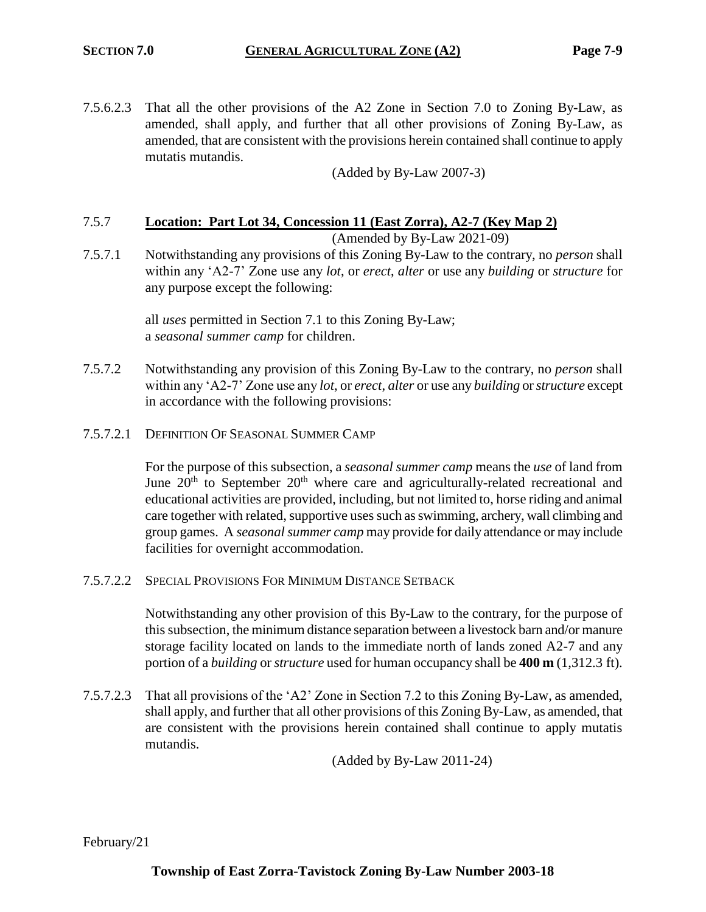7.5.6.2.3 That all the other provisions of the A2 Zone in Section 7.0 to Zoning By-Law, as amended, shall apply, and further that all other provisions of Zoning By-Law, as amended, that are consistent with the provisions herein contained shall continue to apply mutatis mutandis.

(Added by By-Law 2007-3)

# 7.5.7 **Location: Part Lot 34, Concession 11 (East Zorra), A2-7 (Key Map 2)**

(Amended by By-Law 2021-09)

7.5.7.1 Notwithstanding any provisions of this Zoning By-Law to the contrary, no *person* shall within any 'A2-7' Zone use any *lot*, or *erect*, *alter* or use any *building* or *structure* for any purpose except the following:

> all *uses* permitted in Section 7.1 to this Zoning By-Law; a *seasonal summer camp* for children.

- 7.5.7.2 Notwithstanding any provision of this Zoning By-Law to the contrary, no *person* shall within any 'A2-7' Zone use any *lot*, or *erect*, *alter* or use any *building* or *structure* except in accordance with the following provisions:
- 7.5.7.2.1 DEFINITION OF SEASONAL SUMMER CAMP

For the purpose of this subsection, a *seasonal summer camp* means the *use* of land from June  $20<sup>th</sup>$  to September  $20<sup>th</sup>$  where care and agriculturally-related recreational and educational activities are provided, including, but not limited to, horse riding and animal care together with related, supportive uses such as swimming, archery, wall climbing and group games. A *seasonal summer camp* may provide for daily attendance or may include facilities for overnight accommodation.

7.5.7.2.2 SPECIAL PROVISIONS FOR MINIMUM DISTANCE SETBACK

Notwithstanding any other provision of this By-Law to the contrary, for the purpose of this subsection, the minimum distance separation between a livestock barn and/or manure storage facility located on lands to the immediate north of lands zoned A2-7 and any portion of a *building* or *structure* used for human occupancy shall be **400 m** (1,312.3 ft).

7.5.7.2.3 That all provisions of the 'A2' Zone in Section 7.2 to this Zoning By-Law, as amended, shall apply, and further that all other provisions of this Zoning By-Law, as amended, that are consistent with the provisions herein contained shall continue to apply mutatis mutandis.

(Added by By-Law 2011-24)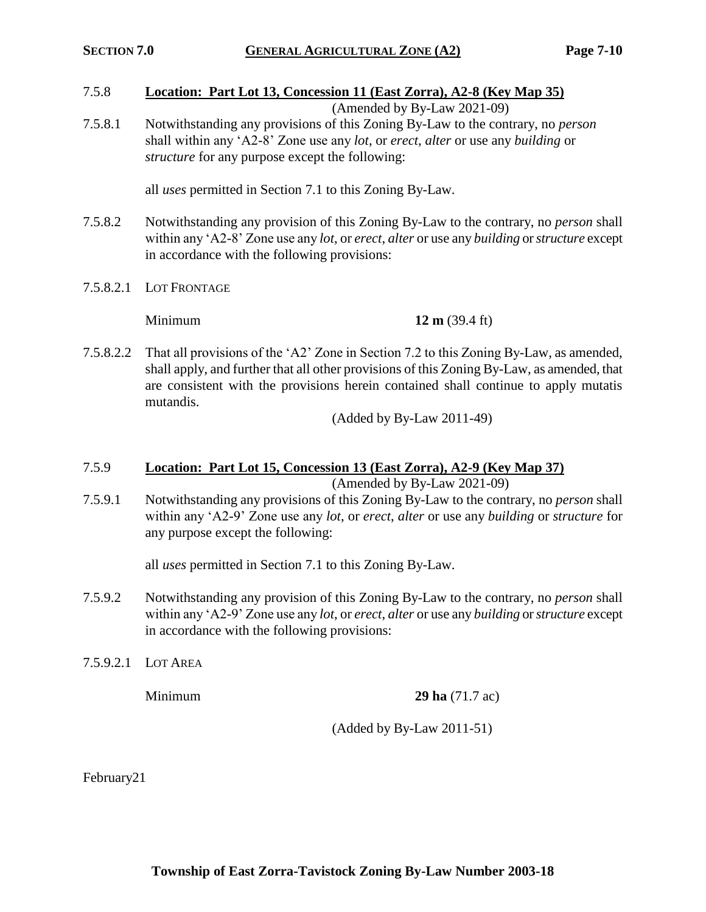# 7.5.8 **Location: Part Lot 13, Concession 11 (East Zorra), A2-8 (Key Map 35)**

(Amended by By-Law 2021-09)

7.5.8.1 Notwithstanding any provisions of this Zoning By-Law to the contrary, no *person* shall within any 'A2-8' Zone use any *lot*, or *erect*, *alter* or use any *building* or *structure* for any purpose except the following:

all *uses* permitted in Section 7.1 to this Zoning By-Law.

- 7.5.8.2 Notwithstanding any provision of this Zoning By-Law to the contrary, no *person* shall within any 'A2-8' Zone use any *lot*, or *erect*, *alter* or use any *building* or *structure* except in accordance with the following provisions:
- 7.5.8.2.1 LOT FRONTAGE

**Minimum 12 m** (39.4 ft)

7.5.8.2.2 That all provisions of the 'A2' Zone in Section 7.2 to this Zoning By-Law, as amended, shall apply, and further that all other provisions of this Zoning By-Law, as amended, that are consistent with the provisions herein contained shall continue to apply mutatis mutandis.

(Added by By-Law 2011-49)

# 7.5.9 **Location: Part Lot 15, Concession 13 (East Zorra), A2-9 (Key Map 37)**

(Amended by By-Law 2021-09)

7.5.9.1 Notwithstanding any provisions of this Zoning By-Law to the contrary, no *person* shall within any 'A2-9' Zone use any *lot*, or *erect*, *alter* or use any *building* or *structure* for any purpose except the following:

all *uses* permitted in Section 7.1 to this Zoning By-Law.

- 7.5.9.2 Notwithstanding any provision of this Zoning By-Law to the contrary, no *person* shall within any 'A2-9' Zone use any *lot*, or *erect*, *alter* or use any *building* or *structure* except in accordance with the following provisions:
- 7.5.9.2.1 LOT AREA

**Minimum 29 ha** (71.7 ac)

(Added by By-Law 2011-51)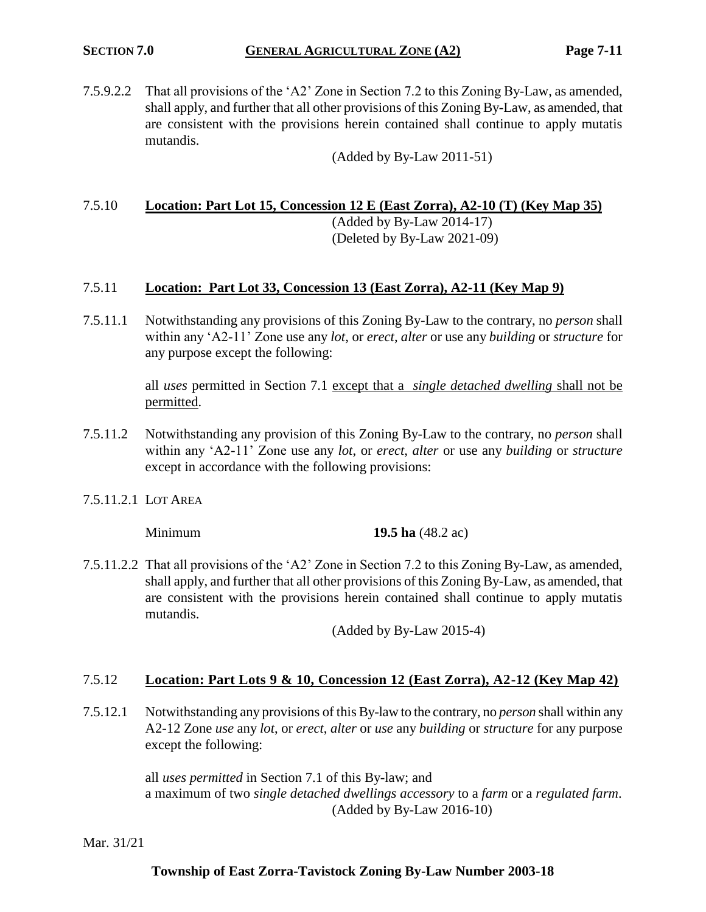7.5.9.2.2 That all provisions of the 'A2' Zone in Section 7.2 to this Zoning By-Law, as amended, shall apply, and further that all other provisions of this Zoning By-Law, as amended, that are consistent with the provisions herein contained shall continue to apply mutatis mutandis.

(Added by By-Law 2011-51)

# 7.5.10 **Location: Part Lot 15, Concession 12 E (East Zorra), A2-10 (T) (Key Map 35)**

(Added by By-Law 2014-17) (Deleted by By-Law 2021-09)

# 7.5.11 **Location: Part Lot 33, Concession 13 (East Zorra), A2-11 (Key Map 9)**

7.5.11.1 Notwithstanding any provisions of this Zoning By-Law to the contrary, no *person* shall within any 'A2-11' Zone use any *lot*, or *erect*, *alter* or use any *building* or *structure* for any purpose except the following:

> all *uses* permitted in Section 7.1 except that a *single detached dwelling* shall not be permitted.

- 7.5.11.2 Notwithstanding any provision of this Zoning By-Law to the contrary, no *person* shall within any 'A2-11' Zone use any *lot*, or *erect*, *alter* or use any *building* or *structure* except in accordance with the following provisions:
- 7.5.11.2.1 LOT AREA

Minimum **19.5 ha** (48.2 ac)

7.5.11.2.2 That all provisions of the 'A2' Zone in Section 7.2 to this Zoning By-Law, as amended, shall apply, and further that all other provisions of this Zoning By-Law, as amended, that are consistent with the provisions herein contained shall continue to apply mutatis mutandis.

(Added by By-Law 2015-4)

### 7.5.12 **Location: Part Lots 9 & 10, Concession 12 (East Zorra), A2-12 (Key Map 42)**

7.5.12.1 Notwithstanding any provisions of this By-law to the contrary, no *person* shall within any A2-12 Zone *use* any *lot*, or *erect*, *alter* or *use* any *building* or *structure* for any purpose except the following:

> all *uses permitted* in Section 7.1 of this By-law; and a maximum of two *single detached dwellings accessory* to a *farm* or a *regulated farm*. (Added by By-Law 2016-10)

Mar. 31/21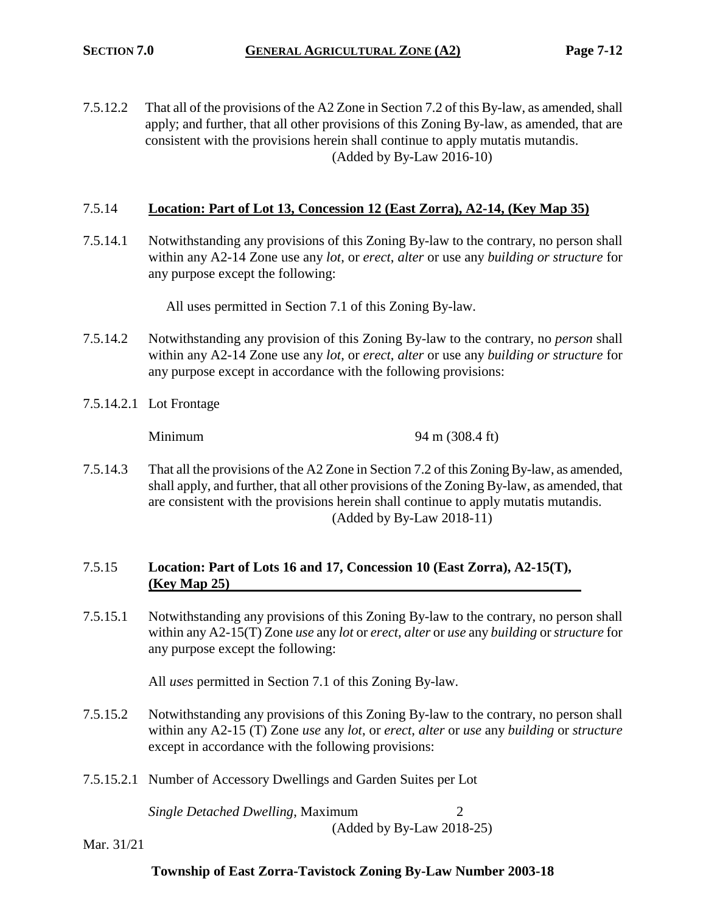7.5.12.2 That all of the provisions of the A2 Zone in Section 7.2 of this By-law, as amended, shall apply; and further, that all other provisions of this Zoning By-law, as amended, that are consistent with the provisions herein shall continue to apply mutatis mutandis. (Added by By-Law 2016-10)

### 7.5.14 **Location: Part of Lot 13, Concession 12 (East Zorra), A2-14, (Key Map 35)**

7.5.14.1 Notwithstanding any provisions of this Zoning By-law to the contrary, no person shall within any A2-14 Zone use any *lot*, or *erect*, *alter* or use any *building or structure* for any purpose except the following:

All uses permitted in Section 7.1 of this Zoning By-law.

- 7.5.14.2 Notwithstanding any provision of this Zoning By-law to the contrary, no *person* shall within any A2-14 Zone use any *lot*, or *erect*, *alter* or use any *building or structure* for any purpose except in accordance with the following provisions:
- 7.5.14.2.1 Lot Frontage

Minimum 94 m (308.4 ft)

7.5.14.3 That all the provisions of the A2 Zone in Section 7.2 of this Zoning By-law, as amended, shall apply, and further, that all other provisions of the Zoning By-law, as amended, that are consistent with the provisions herein shall continue to apply mutatis mutandis. (Added by By-Law 2018-11)

# 7.5.15 **Location: Part of Lots 16 and 17, Concession 10 (East Zorra), A2-15(T), (Key Map 25)**

7.5.15.1 Notwithstanding any provisions of this Zoning By-law to the contrary, no person shall within any A2-15(T) Zone *use* any *lot* or *erect*, *alter* or *use* any *building* or *structure* for any purpose except the following:

All *uses* permitted in Section 7.1 of this Zoning By-law.

- 7.5.15.2 Notwithstanding any provisions of this Zoning By-law to the contrary, no person shall within any A2-15 (T) Zone *use* any *lot*, or *erect*, *alter* or *use* any *building* or *structure* except in accordance with the following provisions:
- 7.5.15.2.1 Number of Accessory Dwellings and Garden Suites per Lot

*Single Detached Dwelling*, Maximum 2 (Added by By-Law 2018-25)

Mar. 31/21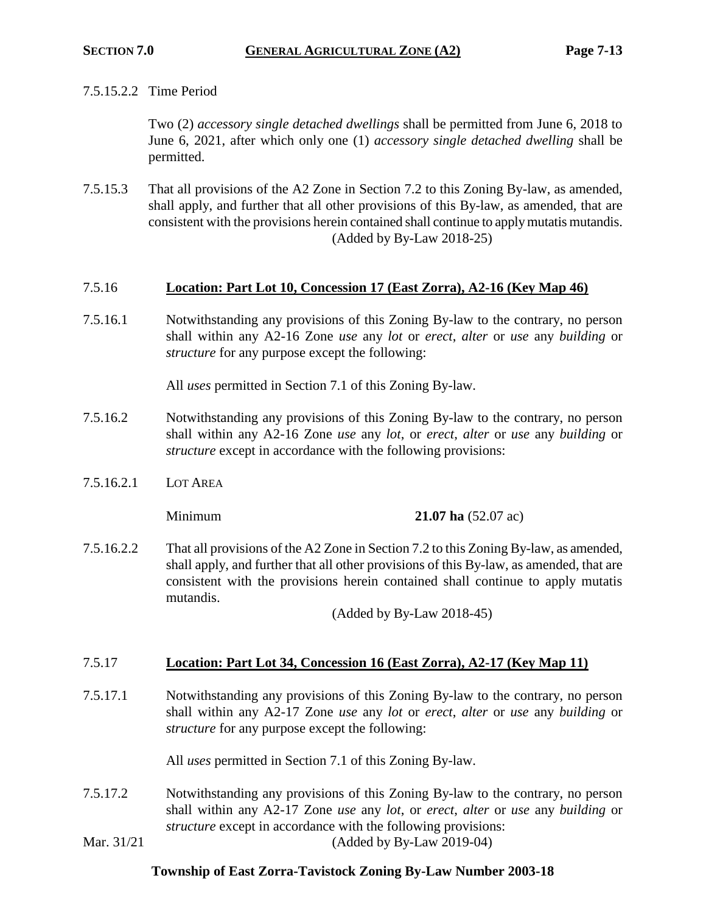## 7.5.15.2.2 Time Period

Two (2) *accessory single detached dwellings* shall be permitted from June 6, 2018 to June 6, 2021, after which only one (1) *accessory single detached dwelling* shall be permitted.

7.5.15.3 That all provisions of the A2 Zone in Section 7.2 to this Zoning By-law, as amended, shall apply, and further that all other provisions of this By-law, as amended, that are consistent with the provisions herein contained shall continue to apply mutatis mutandis. (Added by By-Law 2018-25)

## 7.5.16 **Location: Part Lot 10, Concession 17 (East Zorra), A2-16 (Key Map 46)**

7.5.16.1 Notwithstanding any provisions of this Zoning By-law to the contrary, no person shall within any A2-16 Zone *use* any *lot* or *erect*, *alter* or *use* any *building* or *structure* for any purpose except the following:

All *uses* permitted in Section 7.1 of this Zoning By-law.

- 7.5.16.2 Notwithstanding any provisions of this Zoning By-law to the contrary, no person shall within any A2-16 Zone *use* any *lot*, or *erect*, *alter* or *use* any *building* or *structure* except in accordance with the following provisions:
- 7.5.16.2.1 LOT AREA

Minimum **21.07 ha** (52.07 ac)

7.5.16.2.2 That all provisions of the A2 Zone in Section 7.2 to this Zoning By-law, as amended, shall apply, and further that all other provisions of this By-law, as amended, that are consistent with the provisions herein contained shall continue to apply mutatis mutandis.

(Added by By-Law 2018-45)

### 7.5.17 **Location: Part Lot 34, Concession 16 (East Zorra), A2-17 (Key Map 11)**

7.5.17.1 Notwithstanding any provisions of this Zoning By-law to the contrary, no person shall within any A2-17 Zone *use* any *lot* or *erect*, *alter* or *use* any *building* or *structure* for any purpose except the following:

All *uses* permitted in Section 7.1 of this Zoning By-law.

- 7.5.17.2 Notwithstanding any provisions of this Zoning By-law to the contrary, no person shall within any A2-17 Zone *use* any *lot*, or *erect*, *alter* or *use* any *building* or *structure* except in accordance with the following provisions:
- Mar. 31/21 (Added by By-Law 2019-04)